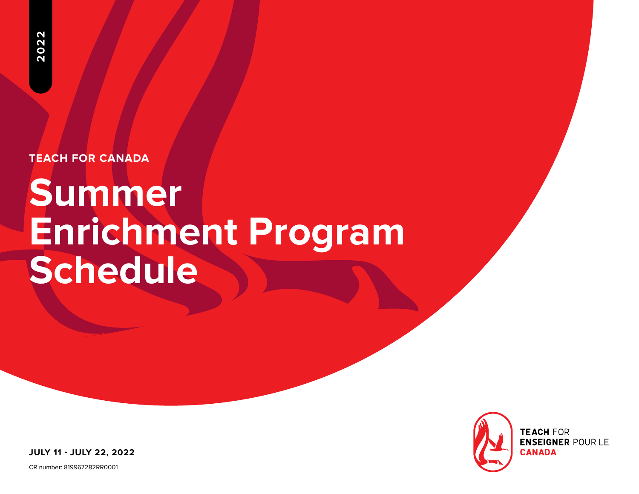**TEACH FOR CANADA**

# **Summer Enrichment Program Schedule JULY 11 - JULY 22, 2022**



CR number: 819967282RR0001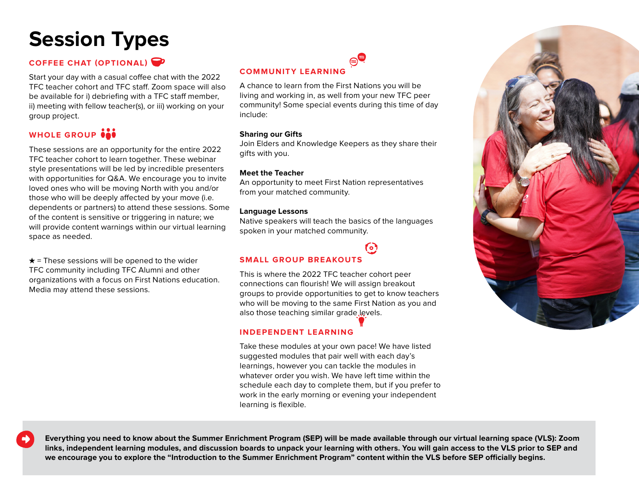# **Session Types**

### **COFFEE CHAT (OPTIONAL)**

Start your day with a casual coffee chat with the 2022 TFC teacher cohort and TFC staff. Zoom space will also be available for i) debriefing with a TFC staff member, ii) meeting with fellow teacher(s), or iii) working on your group project.

## WHOLE GROUP<sup>60</sup>

These sessions are an opportunity for the entire 2022 TFC teacher cohort to learn together. These webinar style presentations will be led by incredible presenters with opportunities for Q&A. We encourage you to invite loved ones who will be moving North with you and/or those who will be deeply affected by your move (i.e. dependents or partners) to attend these sessions. Some of the content is sensitive or triggering in nature; we will provide content warnings within our virtual learning space as needed.

 $\star$  = These sessions will be opened to the wider TFC community including TFC Alumni and other organizations with a focus on First Nations education. Media may attend these sessions.



A chance to learn from the First Nations you will be living and working in, as well from your new TFC peer community! Some special events during this time of day include:

### **Sharing our Gifts**

Join Elders and Knowledge Keepers as they share their gifts with you.

### **Meet the Teacher**

An opportunity to meet First Nation representatives from your matched community.

### **Language Lessons**

Native speakers will teach the basics of the languages spoken in your matched community.

6

### **SMALL GROUP BREAKOUTS**

This is where the 2022 TFC teacher cohort peer connections can flourish! We will assign breakout groups to provide opportunities to get to know teachers who will be moving to the same First Nation as you and also those teaching similar grade levels.

### **INDEPENDENT LEARNING**

Take these modules at your own pace! We have listed suggested modules that pair well with each day's learnings, however you can tackle the modules in whatever order you wish. We have left time within the schedule each day to complete them, but if you prefer to work in the early morning or evening your independent learning is flexible.



**Everything you need to know about the Summer Enrichment Program (SEP) will be made available through our virtual learning space (VLS): Zoom links, independent learning modules, and discussion boards to unpack your learning with others. You will gain access to the VLS prior to SEP and we encourage you to explore the "Introduction to the Summer Enrichment Program" content within the VLS before SEP officially begins.**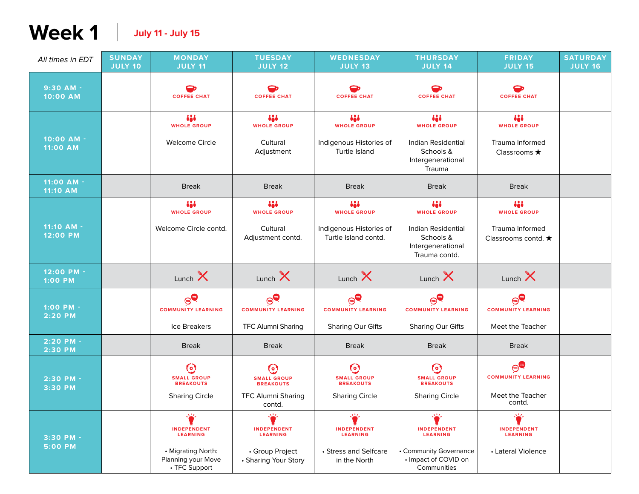# **Week 1 July 11 - July 15**

| All times in EDT       | <b>SUNDAY</b><br><b>JULY 10</b> | <b>MONDAY</b><br><b>JULY 11</b>                                                                         | <b>TUESDAY</b><br><b>JULY 12</b>                                                         | <b>WEDNESDAY</b><br><b>JULY 13</b>                                                  | <b>THURSDAY</b><br><b>JULY 14</b>                                                                           | <b>FRIDAY</b><br><b>JULY 15</b>                                             | <b>SATURDAY</b><br><b>JULY 16</b> |
|------------------------|---------------------------------|---------------------------------------------------------------------------------------------------------|------------------------------------------------------------------------------------------|-------------------------------------------------------------------------------------|-------------------------------------------------------------------------------------------------------------|-----------------------------------------------------------------------------|-----------------------------------|
| 9:30 AM -<br>10:00 AM  |                                 | <b>COFFEE CHAT</b>                                                                                      | <b>COFFEE CHAT</b>                                                                       | <b>COFFEE CHAT</b>                                                                  | <b>COFFEE CHAT</b>                                                                                          | <b>COFFEE CHAT</b>                                                          |                                   |
|                        |                                 | iji<br><b>WHOLE GROUP</b>                                                                               | iji<br><b>WHOLE GROUP</b>                                                                | iji<br><b>WHOLE GROUP</b>                                                           | iji<br><b>WHOLE GROUP</b>                                                                                   | iji<br><b>WHOLE GROUP</b>                                                   |                                   |
| 10:00 AM -<br>11:00 AM |                                 | <b>Welcome Circle</b>                                                                                   | Cultural<br>Adjustment                                                                   | Indigenous Histories of<br>Turtle Island                                            | Indian Residential<br>Schools &<br>Intergenerational<br>Trauma                                              | Trauma Informed<br>Classrooms *                                             |                                   |
| 11:00 AM -<br>11:10 AM |                                 | <b>Break</b>                                                                                            | <b>Break</b>                                                                             | <b>Break</b>                                                                        | <b>Break</b>                                                                                                | <b>Break</b>                                                                |                                   |
|                        |                                 | iji<br><b>WHOLE GROUP</b>                                                                               | iji<br><b>WHOLE GROUP</b>                                                                | iji<br><b>WHOLE GROUP</b>                                                           | iji<br><b>WHOLE GROUP</b>                                                                                   | iji<br><b>WHOLE GROUP</b>                                                   |                                   |
| 11:10 AM -<br>12:00 PM |                                 | Welcome Circle contd.                                                                                   | Cultural<br>Adjustment contd.                                                            | Indigenous Histories of<br>Turtle Island contd.                                     | Indian Residential<br>Schools &<br>Intergenerational<br>Trauma contd.                                       | Trauma Informed<br>Classrooms contd. ★                                      |                                   |
| 12:00 PM -<br>1:00 PM  |                                 | Lunch $\mathsf{\times}$                                                                                 | Lunch $\mathsf{\times}$                                                                  | Lunch $\mathsf{\times}$                                                             | Lunch $\mathsf{\times}$                                                                                     | Lunch $\mathsf{\times}$                                                     |                                   |
| 1:00 PM -<br>2:20 PM   |                                 | $\oplus$ e<br><b>COMMUNITY LEARNING</b><br>Ice Breakers                                                 | $\oplus$ é<br><b>COMMUNITY LEARNING</b><br><b>TFC Alumni Sharing</b>                     | $\oplus$ é<br><b>COMMUNITY LEARNING</b><br>Sharing Our Gifts                        | $\oplus$ e<br><b>COMMUNITY LEARNING</b><br>Sharing Our Gifts                                                | $\oplus_{\mathbf{\Theta}}$<br><b>COMMUNITY LEARNING</b><br>Meet the Teacher |                                   |
| 2:20 PM -<br>2:30 PM   |                                 | <b>Break</b>                                                                                            | <b>Break</b>                                                                             | <b>Break</b>                                                                        | <b>Break</b>                                                                                                | <b>Break</b>                                                                |                                   |
| 2:30 PM -<br>3:30 PM   |                                 | $\odot$<br><b>SMALL GROUP</b><br><b>BREAKOUTS</b><br><b>Sharing Circle</b>                              | $\odot$<br><b>SMALL GROUP</b><br><b>BREAKOUTS</b><br><b>TFC Alumni Sharing</b><br>contd. | $\odot$<br><b>SMALL GROUP</b><br><b>BREAKOUTS</b><br><b>Sharing Circle</b>          | $\odot$<br><b>SMALL GROUP</b><br><b>BREAKOUTS</b><br><b>Sharing Circle</b>                                  | $\oplus$ e<br><b>COMMUNITY LEARNING</b><br>Meet the Teacher<br>contd.       |                                   |
| 3:30 PM -<br>5:00 PM   |                                 | ₩<br><b>INDEPENDENT</b><br><b>LEARNING</b><br>• Migrating North:<br>Planning your Move<br>• TFC Support | 举<br><b>INDEPENDENT</b><br><b>LEARNING</b><br>• Group Project<br>• Sharing Your Story    | ₩<br><b>INDEPENDENT</b><br><b>LEARNING</b><br>• Stress and Selfcare<br>in the North | ₩<br><b>INDEPENDENT</b><br><b>LEARNING</b><br>• Community Governance<br>• Impact of COVID on<br>Communities | ÷<br><b>INDEPENDENT</b><br><b>LEARNING</b><br>• Lateral Violence            |                                   |